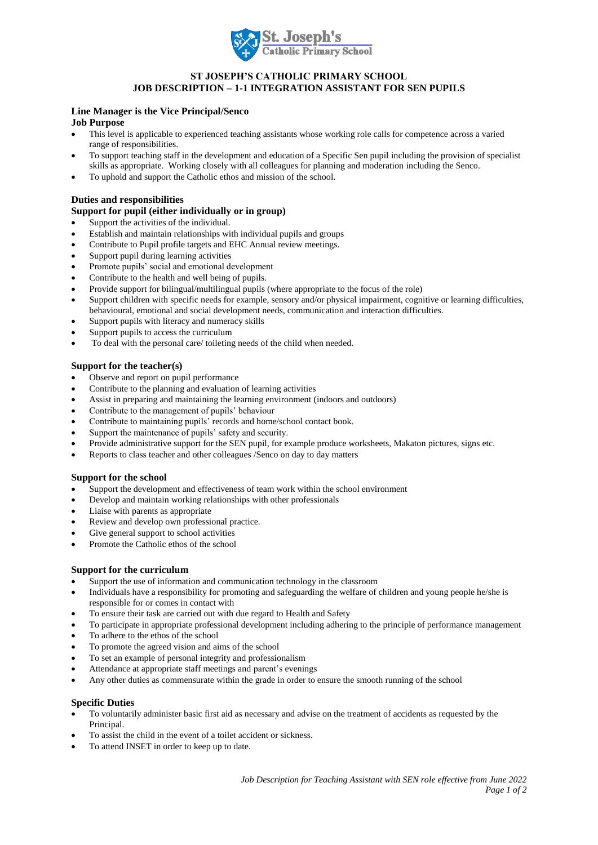

# **ST JOSEPH'S CATHOLIC PRIMARY SCHOOL JOB DESCRIPTION – 1-1 INTEGRATION ASSISTANT FOR SEN PUPILS**

# **Line Manager is the Vice Principal/Senco**

# **Job Purpose**

- This level is applicable to experienced teaching assistants whose working role calls for competence across a varied range of responsibilities.
- To support teaching staff in the development and education of a Specific Sen pupil including the provision of specialist skills as appropriate. Working closely with all colleagues for planning and moderation including the Senco.
- To uphold and support the Catholic ethos and mission of the school.

# **Duties and responsibilities**

# **Support for pupil (either individually or in group)**

- Support the activities of the individual.
- Establish and maintain relationships with individual pupils and groups
- Contribute to Pupil profile targets and EHC Annual review meetings.
- Support pupil during learning activities
- Promote pupils' social and emotional development
- Contribute to the health and well being of pupils.
- Provide support for bilingual/multilingual pupils (where appropriate to the focus of the role)
- Support children with specific needs for example, sensory and/or physical impairment, cognitive or learning difficulties, behavioural, emotional and social development needs, communication and interaction difficulties.
- Support pupils with literacy and numeracy skills
- Support pupils to access the curriculum
- To deal with the personal care/ toileting needs of the child when needed.

## **Support for the teacher(s)**

- Observe and report on pupil performance
- Contribute to the planning and evaluation of learning activities
- Assist in preparing and maintaining the learning environment (indoors and outdoors)
- Contribute to the management of pupils' behaviour
- Contribute to maintaining pupils' records and home/school contact book.
- Support the maintenance of pupils' safety and security.
- Provide administrative support for the SEN pupil, for example produce worksheets, Makaton pictures, signs etc.
- Reports to class teacher and other colleagues /Senco on day to day matters

### **Support for the school**

- Support the development and effectiveness of team work within the school environment
- Develop and maintain working relationships with other professionals
- Liaise with parents as appropriate
- Review and develop own professional practice.
- Give general support to school activities
- Promote the Catholic ethos of the school

### **Support for the curriculum**

- Support the use of information and communication technology in the classroom
- Individuals have a responsibility for promoting and safeguarding the welfare of children and young people he/she is responsible for or comes in contact with
- To ensure their task are carried out with due regard to Health and Safety
- To participate in appropriate professional development including adhering to the principle of performance management
- To adhere to the ethos of the school
- To promote the agreed vision and aims of the school
- To set an example of personal integrity and professionalism
- Attendance at appropriate staff meetings and parent's evenings
- Any other duties as commensurate within the grade in order to ensure the smooth running of the school

### **Specific Duties**

- To voluntarily administer basic first aid as necessary and advise on the treatment of accidents as requested by the Principal.
- To assist the child in the event of a toilet accident or sickness.
- To attend INSET in order to keep up to date.